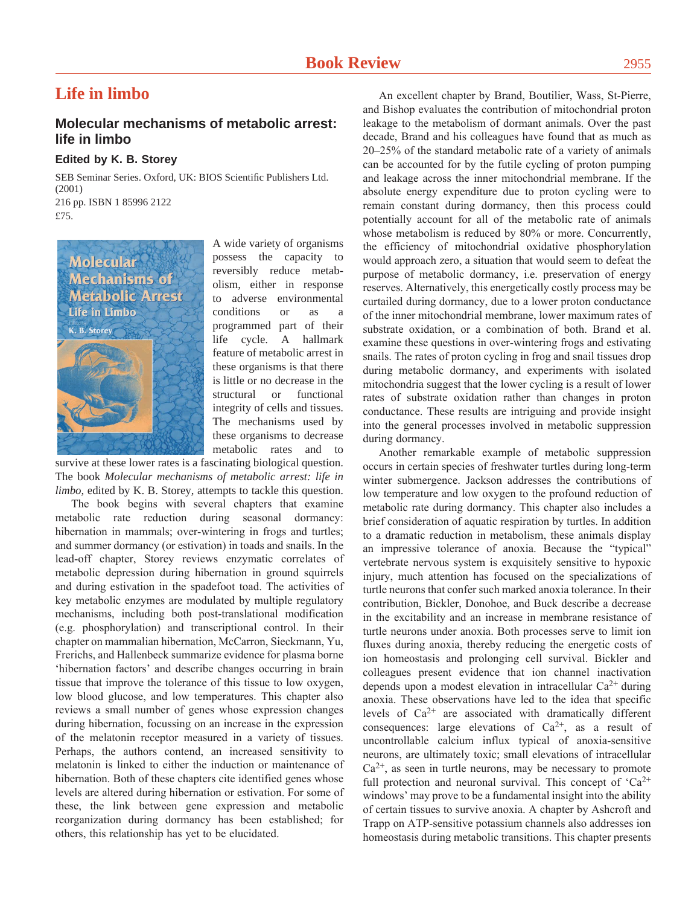## **Life in limbo**

## **Molecular mechanisms of metabolic arrest: life in limbo**

## **Edited by K. B. Storey**

SEB Seminar Series. Oxford, UK: BIOS Scientific Publishers Ltd. (2001) 216 pp. ISBN 1 85996 2122 £75.



A wide variety of organisms possess the capacity to reversibly reduce metabolism, either in response to adverse environmental conditions or as a programmed part of their life cycle. A hallmark feature of metabolic arrest in these organisms is that there is little or no decrease in the structural or functional integrity of cells and tissues. The mechanisms used by these organisms to decrease metabolic rates and to

survive at these lower rates is a fascinating biological question. The book *Molecular mechanisms of metabolic arrest: life in limbo*, edited by K. B. Storey, attempts to tackle this question.

The book begins with several chapters that examine metabolic rate reduction during seasonal dormancy: hibernation in mammals; over-wintering in frogs and turtles; and summer dormancy (or estivation) in toads and snails. In the lead-off chapter, Storey reviews enzymatic correlates of metabolic depression during hibernation in ground squirrels and during estivation in the spadefoot toad. The activities of key metabolic enzymes are modulated by multiple regulatory mechanisms, including both post-translational modification (e.g. phosphorylation) and transcriptional control. In their chapter on mammalian hibernation, McCarron, Sieckmann, Yu, Frerichs, and Hallenbeck summarize evidence for plasma borne 'hibernation factors' and describe changes occurring in brain tissue that improve the tolerance of this tissue to low oxygen, low blood glucose, and low temperatures. This chapter also reviews a small number of genes whose expression changes during hibernation, focussing on an increase in the expression of the melatonin receptor measured in a variety of tissues. Perhaps, the authors contend, an increased sensitivity to melatonin is linked to either the induction or maintenance of hibernation. Both of these chapters cite identified genes whose levels are altered during hibernation or estivation. For some of these, the link between gene expression and metabolic reorganization during dormancy has been established; for others, this relationship has yet to be elucidated.

An excellent chapter by Brand, Boutilier, Wass, St-Pierre, and Bishop evaluates the contribution of mitochondrial proton leakage to the metabolism of dormant animals. Over the past decade, Brand and his colleagues have found that as much as 20–25% of the standard metabolic rate of a variety of animals can be accounted for by the futile cycling of proton pumping and leakage across the inner mitochondrial membrane. If the absolute energy expenditure due to proton cycling were to remain constant during dormancy, then this process could potentially account for all of the metabolic rate of animals whose metabolism is reduced by 80% or more. Concurrently, the efficiency of mitochondrial oxidative phosphorylation would approach zero, a situation that would seem to defeat the purpose of metabolic dormancy, i.e. preservation of energy reserves. Alternatively, this energetically costly process may be curtailed during dormancy, due to a lower proton conductance of the inner mitochondrial membrane, lower maximum rates of substrate oxidation, or a combination of both. Brand et al. examine these questions in over-wintering frogs and estivating snails. The rates of proton cycling in frog and snail tissues drop during metabolic dormancy, and experiments with isolated mitochondria suggest that the lower cycling is a result of lower rates of substrate oxidation rather than changes in proton conductance. These results are intriguing and provide insight into the general processes involved in metabolic suppression during dormancy.

Another remarkable example of metabolic suppression occurs in certain species of freshwater turtles during long-term winter submergence. Jackson addresses the contributions of low temperature and low oxygen to the profound reduction of metabolic rate during dormancy. This chapter also includes a brief consideration of aquatic respiration by turtles. In addition to a dramatic reduction in metabolism, these animals display an impressive tolerance of anoxia. Because the "typical" vertebrate nervous system is exquisitely sensitive to hypoxic injury, much attention has focused on the specializations of turtle neurons that confer such marked anoxia tolerance. In their contribution, Bickler, Donohoe, and Buck describe a decrease in the excitability and an increase in membrane resistance of turtle neurons under anoxia. Both processes serve to limit ion fluxes during anoxia, thereby reducing the energetic costs of ion homeostasis and prolonging cell survival. Bickler and colleagues present evidence that ion channel inactivation depends upon a modest elevation in intracellular Ca<sup>2+</sup> during anoxia. These observations have led to the idea that specific levels of  $Ca^{2+}$  are associated with dramatically different consequences: large elevations of  $Ca^{2+}$ , as a result of uncontrollable calcium influx typical of anoxia-sensitive neurons, are ultimately toxic; small elevations of intracellular  $Ca<sup>2+</sup>$ , as seen in turtle neurons, may be necessary to promote full protection and neuronal survival. This concept of  $Ca^{2+}$ windows' may prove to be a fundamental insight into the ability of certain tissues to survive anoxia. A chapter by Ashcroft and Trapp on ATP-sensitive potassium channels also addresses ion homeostasis during metabolic transitions. This chapter presents